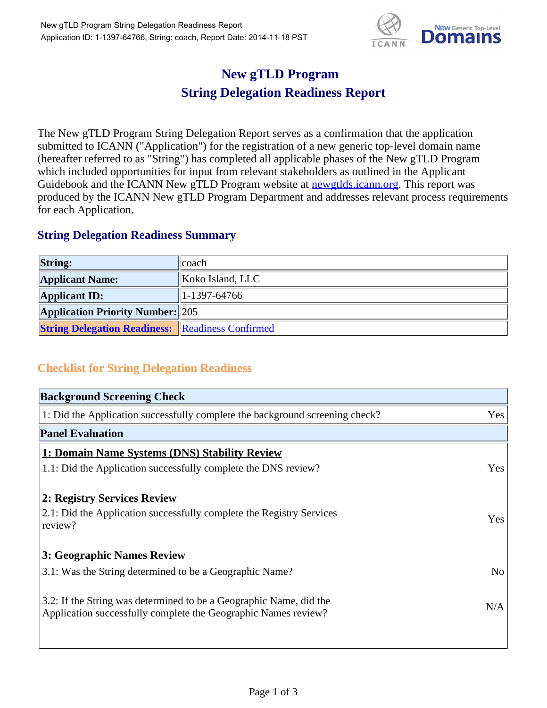

## **New gTLD Program String Delegation Readiness Report**

The New gTLD Program String Delegation Report serves as a confirmation that the application submitted to ICANN ("Application") for the registration of a new generic top-level domain name (hereafter referred to as "String") has completed all applicable phases of the New gTLD Program which included opportunities for input from relevant stakeholders as outlined in the Applicant Guidebook and the ICANN New gTLD Program website at newgtlds.icann.org. This report was produced by the ICANN New gTLD Program Department and addresses relevant process requirements for each Application.

## **String Delegation Readiness Summary**

| <b>String:</b>                                          | ∥coach-          |
|---------------------------------------------------------|------------------|
| <b>Applicant Name:</b>                                  | Koko Island, LLC |
| <b>Applicant ID:</b>                                    | $ 1-1397-64766 $ |
| <b>Application Priority Number: 205</b>                 |                  |
| <b>String Delegation Readiness: Readiness Confirmed</b> |                  |

## **Checklist for String Delegation Readiness**

| <b>Background Screening Check</b>                                            |                |
|------------------------------------------------------------------------------|----------------|
| 1: Did the Application successfully complete the background screening check? | Yes            |
| <b>Panel Evaluation</b>                                                      |                |
| 1: Domain Name Systems (DNS) Stability Review                                |                |
| 1.1: Did the Application successfully complete the DNS review?               | Yes            |
| 2: Registry Services Review                                                  |                |
| 2.1: Did the Application successfully complete the Registry Services         | Yes            |
| review?                                                                      |                |
| <b>3: Geographic Names Review</b>                                            |                |
| 3.1: Was the String determined to be a Geographic Name?                      | N <sub>o</sub> |
| 3.2: If the String was determined to be a Geographic Name, did the           |                |
| Application successfully complete the Geographic Names review?               | N/A            |
|                                                                              |                |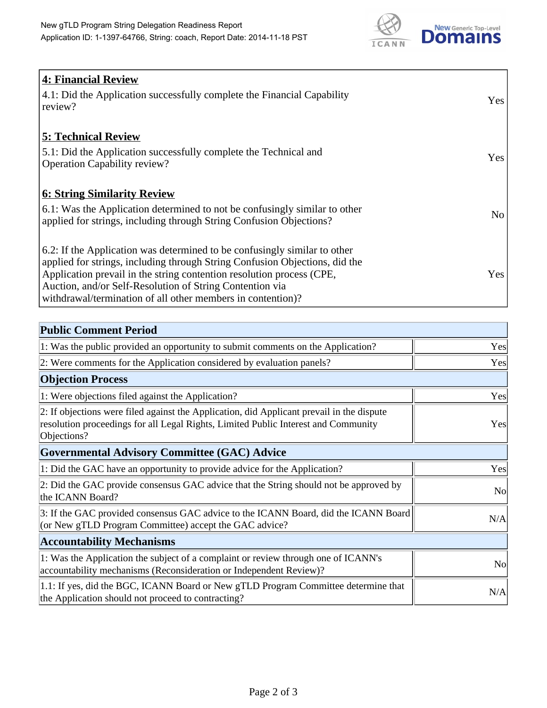

| <b>4: Financial Review</b><br>4.1: Did the Application successfully complete the Financial Capability<br>review?                                                                                                                                                                                                                                             | <b>Yes</b> |
|--------------------------------------------------------------------------------------------------------------------------------------------------------------------------------------------------------------------------------------------------------------------------------------------------------------------------------------------------------------|------------|
| <b>5: Technical Review</b><br>5.1: Did the Application successfully complete the Technical and<br><b>Operation Capability review?</b>                                                                                                                                                                                                                        | <b>Yes</b> |
| <b>6: String Similarity Review</b><br>6.1: Was the Application determined to not be confusingly similar to other<br>applied for strings, including through String Confusion Objections?                                                                                                                                                                      | No         |
| 6.2: If the Application was determined to be confusingly similar to other<br>applied for strings, including through String Confusion Objections, did the<br>Application prevail in the string contention resolution process (CPE,<br>Auction, and/or Self-Resolution of String Contention via<br>withdrawal/termination of all other members in contention)? | Yes        |

| <b>Public Comment Period</b>                                                                                                                                                                   |                |
|------------------------------------------------------------------------------------------------------------------------------------------------------------------------------------------------|----------------|
| 1: Was the public provided an opportunity to submit comments on the Application?                                                                                                               | Yes            |
| 2: Were comments for the Application considered by evaluation panels?                                                                                                                          | Yes            |
| <b>Objection Process</b>                                                                                                                                                                       |                |
| 1: Were objections filed against the Application?                                                                                                                                              | Yes            |
| 2: If objections were filed against the Application, did Applicant prevail in the dispute<br>resolution proceedings for all Legal Rights, Limited Public Interest and Community<br>Objections? | Yes            |
| <b>Governmental Advisory Committee (GAC) Advice</b>                                                                                                                                            |                |
| 1: Did the GAC have an opportunity to provide advice for the Application?                                                                                                                      | Yes            |
| 2: Did the GAC provide consensus GAC advice that the String should not be approved by<br>the ICANN Board?                                                                                      | N <sub>o</sub> |
| 3: If the GAC provided consensus GAC advice to the ICANN Board, did the ICANN Board<br>(or New gTLD Program Committee) accept the GAC advice?                                                  | N/A            |
| <b>Accountability Mechanisms</b>                                                                                                                                                               |                |
| 1: Was the Application the subject of a complaint or review through one of ICANN's<br>accountability mechanisms (Reconsideration or Independent Review)?                                       | N <sub>0</sub> |
| 1.1: If yes, did the BGC, ICANN Board or New gTLD Program Committee determine that<br>the Application should not proceed to contracting?                                                       | N/A            |